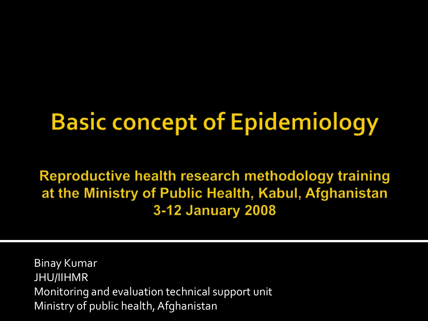### **Basic concept of Epidemiology**

Reproductive health research methodology training at the Ministry of Public Health, Kabul, Afghanistan 3-12 January 2008

Binay Kumar JHU/IIHMR Monitoring and evaluation technical support unit Ministry of public health, Afghanistan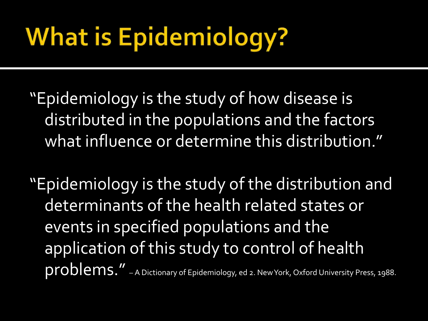## **What is Epidemiology?**

- "Epidemiology is the study of how disease is distributed in the populations and the factors what influence or determine this distribution."
- "Epidemiology is the study of the distribution and determinants of the health related states or events in specified populations and the application of this study to control of health problems." – A Dictionary of Epidemiology, ed 2. New York, Oxford University Press, 1988.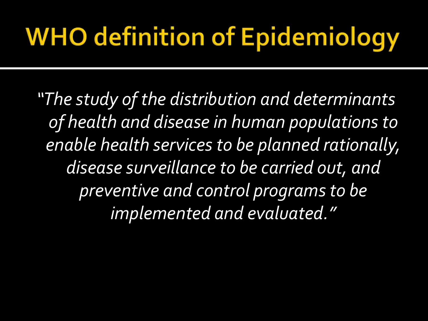## **WHO definition of Epidemiology**

*"The study of the distribution and determinants of health and disease in human populations to enable health services to be planned rationally, disease surveillance to be carried out, and preventive and control programs to be implemented and evaluated."*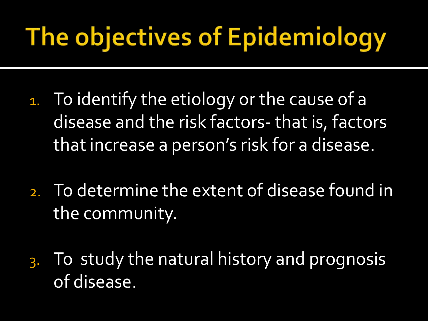## The objectives of Epidemiology

- 1. To identify the etiology or the cause of a disease and the risk factors- that is, factors that increase a person's risk for a disease.
- 2. To determine the extent of disease found in the community.
- 3. To study the natural history and prognosis of disease.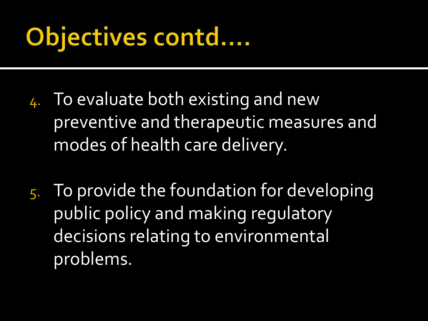## Objectives contd....

- 4. To evaluate both existing and new preventive and therapeutic measures and modes of health care delivery.
- 5. To provide the foundation for developing public policy and making regulatory decisions relating to environmental problems.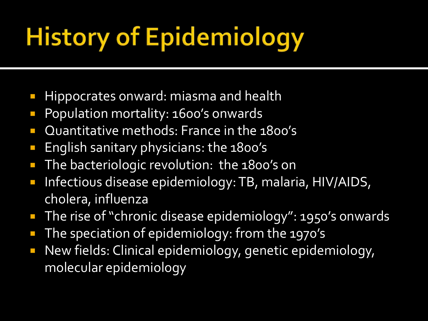## **History of Epidemiology**

- Hippocrates onward: miasma and health
- **Population mortality: 1600's onwards**
- **D** Quantitative methods: France in the 1800's
- **English sanitary physicians: the 1800's**
- **The bacteriologic revolution: the 1800's on**
- **Infectious disease epidemiology: TB, malaria, HIV/AIDS,** cholera, influenza
- The rise of "chronic disease epidemiology": 1950's onwards
- The speciation of epidemiology: from the 1970's
- **New fields: Clinical epidemiology, genetic epidemiology,** molecular epidemiology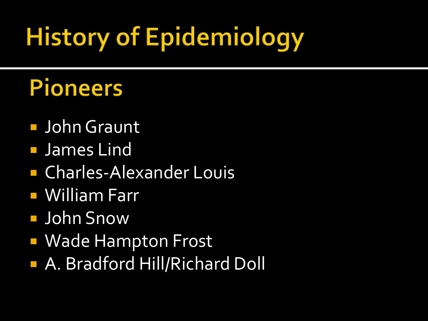## **History of Epidemiology**

#### **Pioneers**

- **John Graunt**
- **James Lind**
- Charles-Alexander Louis
- William Farr
- John Snow
- **NADIA Hampton Frost**
- A. Bradford Hill/Richard Doll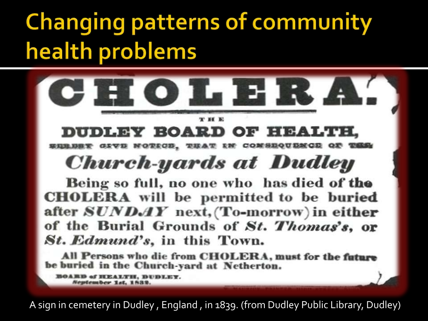#### **Changing patterns of community** health problems



**DUDLEY BOARD OF HEALTH,** GRYD NOTROD, THAT RE COMBROUDECE OF THE

**Church-yards at Dudley** 

Being so full, no one who has died of the **CHOLERA** will be permitted to be buried after  $SUNDAY$  next, (To-morrow) in either of the Burial Grounds of St. Thomas's, or St. Edmund's, in this Town.

All Persons who die from CHOLERA, must for the future be buried in the Church-yard at Netherton.

**BOARD of HEALTH, DUDLEY.** Neptember 1st, 1539.

A sign in cemetery in Dudley, England, in 1839. (from Dudley Public Library, Dudley)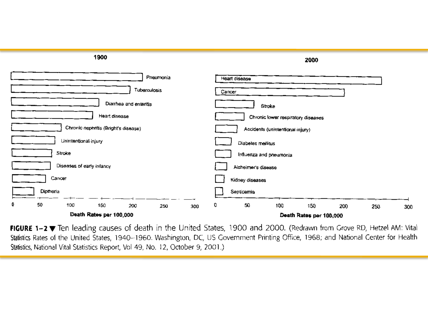

FIGURE 1-2 ₩ Ten leading causes of death in the United States, 1900 and 2000. (Redrawn from Grove RD, Hetzel AM: Vital Statistics Rates of the United States, 1940–1960. Washington, DC, US Government Printing Office, 1968; and National Center for Health Statistics, National Vital Statistics Report, Vol 49, No. 12, October 9, 2001.)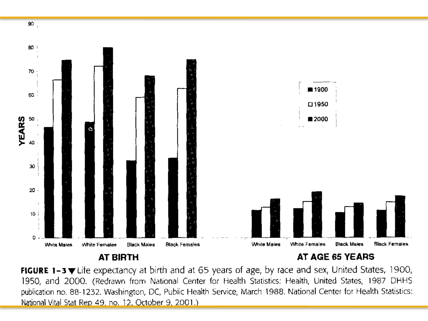

**AT BIRTH** 

AT AGE 65 YEARS

FIGURE 1-3 VLife expectancy at birth and at 65 years of age, by race and sex, United States, 1900, 1950, and 2000. (Redrawn from National Center for Health Statistics: Health, United States, 1987 DHHS publication no. 88-1232. Washington, DC, Public Health Service, March 1988. National Center for Health Statistics: National Vital Stat Rep 49, no. 12, October 9, 2001.)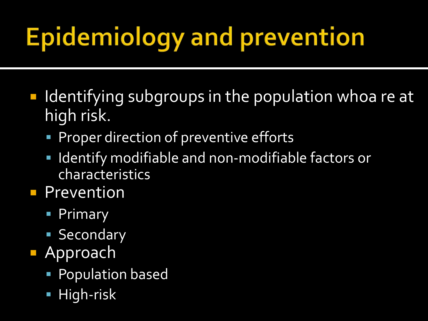# **Epidemiology and prevention**

- $\blacksquare$  Identifying subgroups in the population whoa re at high risk.
	- **Proper direction of preventive efforts**
	- Identify modifiable and non-modifiable factors or characteristics
- **Prevention** 
	- **Primary**
	- **Secondary**
- **Approach** 
	- Population based
	- **High-risk**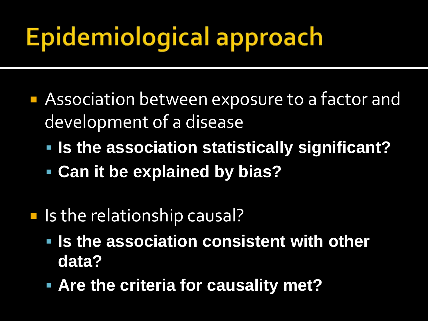## **Epidemiological approach**

- **Association between exposure to a factor and** development of a disease
	- **Is the association statistically significant?**
	- **Can it be explained by bias?**
- **If** Is the relationship causal?
	- **Is the association consistent with other data?**
	- **Are the criteria for causality met?**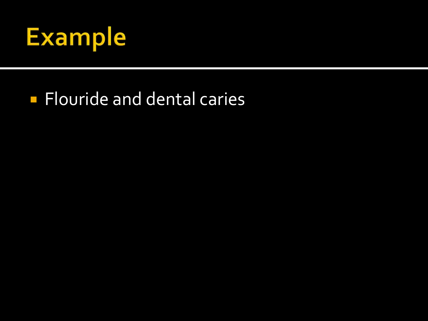

#### **Flouride and dental caries**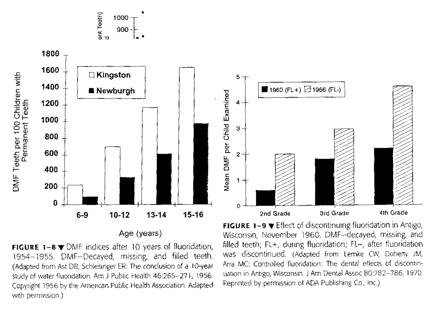

**FIGURE 1-8**  $\blacktriangledown$  DMF indices after 10 years of fluoridation, 1954-1955. DMF-Decayed, missing, and filled teeth. (Adapted from Ast DB, Schlesinger ER: The conclusion of a 10-year study of water fluoridation. Am J Public Health 46:265-271, 1956. Copyright 1956 by the American Public Health Association. Adapted with permission.)



**FIGURE 1-9**  $\blacktriangledown$  Effect of discontinuing fluoridation in Antigo, Wisconsin, November 1960. DMF-decayed, missing, and filled teeth; FL+, during fluoridation; FL-, after fluoridation was discontinued. (Adapted from Lemke CW, Doherty JM, Arra MC: Controlled fluoridation: The dental effects of discontinuation in Antigo, Wisconsin. J Am Dental Assoc 80:782-786, 1970. Reprinted by permission of ADA Publishing Co., Inc.).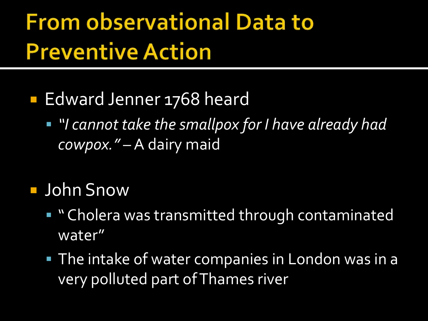#### **From observational Data to Preventive Action**

- **Edward Jenner 1768 heard** 
	- *"I cannot take the smallpox for I have already had cowpox."* – A dairy maid
- John Snow
	- **.** "Cholera was transmitted through contaminated water"
	- **The intake of water companies in London was in a** very polluted part of Thames river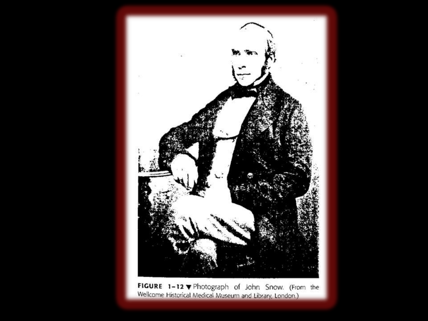

FIGURE 1-12 V Photograph of John Snow. (From the Wellcome Historical Medical Museum and Library, London.)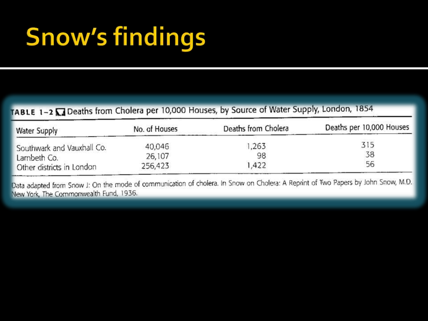## **Snow's findings**

#### TABLE 1-2 M Deaths from Cholera per 10,000 Houses, by Source of Water Supply, London, 1854

| <b>Water Supply</b>                                                    | No. of Houses | Deaths from Cholera | Deaths per 10,000 Houses |
|------------------------------------------------------------------------|---------------|---------------------|--------------------------|
| Southwark and Vauxhall Co.<br>Lambeth Co.<br>Other districts in London | 40,046        | .263                | 315                      |
|                                                                        | 26,107        | 98                  | 38                       |
|                                                                        | 256,423       | ,422                | 56                       |

Data adapted from Snow J: On the mode of communication of cholera. In Snow on Cholera: A Reprint of Two Papers by John Snow, M.D. New York, The Commonwealth Fund, 1936.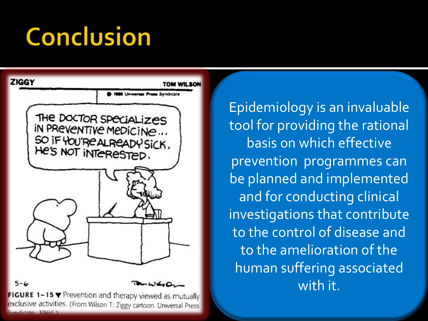## **Conclusion**



 $5 - 6$ 

FIGURE 1-15 Y Prevention and therapy viewed as mutually exclusive activities. (From Wilson T: Ziggy cartoon. Universal Press Syndicate 1986.)

Epidemiology is an invaluable tool for providing the rational basis on which effective prevention programmes can be planned and implemented and for conducting clinical investigations that contribute to the control of disease and to the amelioration of the human suffering associated with it.